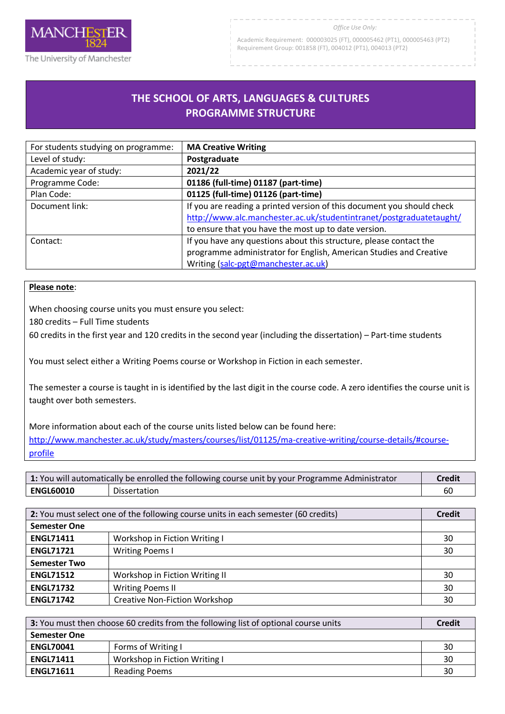

#### *Office Use Only:*

Academic Requirement: 000003025 (FT), 000005462 (PT1), 000005463 (PT2) Requirement Group: 001858 (FT), 004012 (PT1), 004013 (PT2)

# **THE SCHOOL OF ARTS, LANGUAGES & CULTURES PROGRAMME STRUCTURE**

R

| For students studying on programme: | <b>MA Creative Writing</b>                                             |
|-------------------------------------|------------------------------------------------------------------------|
| Level of study:                     | Postgraduate                                                           |
| Academic year of study:             | 2021/22                                                                |
| Programme Code:                     | 01186 (full-time) 01187 (part-time)                                    |
| Plan Code:                          | 01125 (full-time) 01126 (part-time)                                    |
| Document link:                      | If you are reading a printed version of this document you should check |
|                                     | http://www.alc.manchester.ac.uk/studentintranet/postgraduatetaught/    |
|                                     | to ensure that you have the most up to date version.                   |
| Contact:                            | If you have any questions about this structure, please contact the     |
|                                     | programme administrator for English, American Studies and Creative     |
|                                     | Writing (salc-pgt@manchester.ac.uk)                                    |

#### **Please note**:

When choosing course units you must ensure you select:

180 credits – Full Time students

60 credits in the first year and 120 credits in the second year (including the dissertation) – Part-time students

You must select either a Writing Poems course or Workshop in Fiction in each semester.

The semester a course is taught in is identified by the last digit in the course code. A zero identifies the course unit is taught over both semesters.

More information about each of the course units listed below can be found here: [http://www.manchester.ac.uk/study/masters/courses/list/01125/ma-creative-writing/course-details/#course](http://www.manchester.ac.uk/study/masters/courses/list/01125/ma-creative-writing/course-details/#course-profile)[profile](http://www.manchester.ac.uk/study/masters/courses/list/01125/ma-creative-writing/course-details/#course-profile)

| 1: You will automatically be enrolled the following course unit by your Programme Administrator |              | <b>Credit</b> |
|-------------------------------------------------------------------------------------------------|--------------|---------------|
| <b>ENGL60010</b>                                                                                | Dissertation |               |

| 2: You must select one of the following course units in each semester (60 credits) |                                      | <b>Credit</b> |
|------------------------------------------------------------------------------------|--------------------------------------|---------------|
| <b>Semester One</b>                                                                |                                      |               |
| <b>ENGL71411</b>                                                                   | Workshop in Fiction Writing I        | 30            |
| <b>ENGL71721</b>                                                                   | <b>Writing Poems I</b>               | 30            |
| <b>Semester Two</b>                                                                |                                      |               |
| <b>ENGL71512</b>                                                                   | Workshop in Fiction Writing II       | 30            |
| <b>ENGL71732</b>                                                                   | <b>Writing Poems II</b>              | 30            |
| <b>ENGL71742</b>                                                                   | <b>Creative Non-Fiction Workshop</b> | 30            |

| 3: You must then choose 60 credits from the following list of optional course units |                               | <b>Credit</b> |
|-------------------------------------------------------------------------------------|-------------------------------|---------------|
| <b>Semester One</b>                                                                 |                               |               |
| <b>ENGL70041</b>                                                                    | Forms of Writing I            | 30            |
| <b>ENGL71411</b>                                                                    | Workshop in Fiction Writing I | 30            |
| <b>ENGL71611</b>                                                                    | <b>Reading Poems</b>          | 30            |